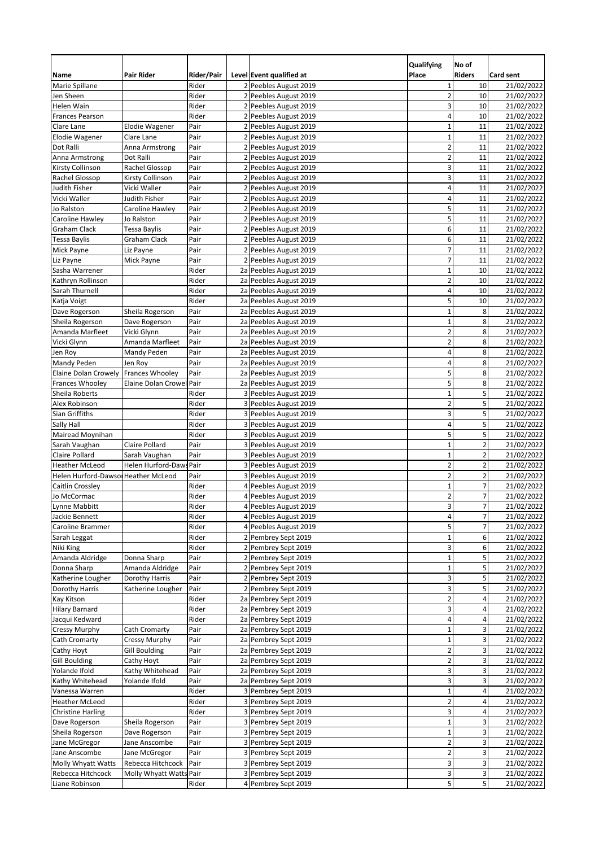|                                        |                              |              |   |                                                | Qualifying              | No of                   |                          |
|----------------------------------------|------------------------------|--------------|---|------------------------------------------------|-------------------------|-------------------------|--------------------------|
| Name                                   | Pair Rider                   | Rider/Pair   |   | Level Event qualified at                       | Place                   | <b>Riders</b>           | <b>Card sent</b>         |
| Marie Spillane                         |                              | Rider        |   | 2 Peebles August 2019                          | $\mathbf{1}$            | 10                      | 21/02/2022               |
| Jen Sheen                              |                              | Rider        |   | 2 Peebles August 2019                          | $\overline{2}$          | 10                      | 21/02/2022               |
| Helen Wain                             |                              | Rider        |   | 2 Peebles August 2019                          | 3                       | 10                      | 21/02/2022               |
| <b>Frances Pearson</b>                 |                              | Rider        |   | 2 Peebles August 2019                          | 4                       | 10                      | 21/02/2022               |
| Clare Lane                             | <b>Elodie Wagener</b>        | Pair         |   | 2 Peebles August 2019                          | $\mathbf{1}$            | 11                      | 21/02/2022               |
| <b>Elodie Wagener</b>                  | Clare Lane                   | Pair         |   | 2 Peebles August 2019                          | $\mathbf{1}$            | 11                      | 21/02/2022               |
| Dot Ralli                              | Anna Armstrong               | Pair         | 2 | Peebles August 2019                            | $\overline{2}$          | 11                      | 21/02/2022               |
| Anna Armstrong                         | Dot Ralli                    | Pair         |   | 2 Peebles August 2019                          | $\overline{2}$          | 11                      | 21/02/2022               |
| Kirsty Collinson                       | Rachel Glossop               | Pair         |   | 2 Peebles August 2019                          | 3                       | 11                      | 21/02/2022               |
| Rachel Glossop                         | Kirsty Collinson             | Pair         |   | 2 Peebles August 2019                          | 3                       | 11                      | 21/02/2022               |
| Judith Fisher                          | Vicki Waller                 | Pair         |   | 2 Peebles August 2019                          | 4                       | 11                      | 21/02/2022               |
| Vicki Waller<br>Jo Ralston             | Judith Fisher                | Pair         |   | 2 Peebles August 2019                          | 4                       | 11                      | 21/02/2022               |
|                                        | Caroline Hawley              | Pair<br>Pair | 2 | Peebles August 2019<br>2 Peebles August 2019   | 5<br>5                  | 11<br>11                | 21/02/2022<br>21/02/2022 |
| Caroline Hawley<br><b>Graham Clack</b> | Jo Ralston                   | Pair         |   |                                                | 6                       | 11                      |                          |
|                                        | Tessa Baylis<br>Graham Clack |              |   | 2 Peebles August 2019<br>2 Peebles August 2019 | 6                       | 11                      | 21/02/2022<br>21/02/2022 |
| Tessa Baylis<br>Mick Payne             | Liz Payne                    | Pair<br>Pair |   | 2 Peebles August 2019                          | $\overline{7}$          | 11                      | 21/02/2022               |
| Liz Payne                              | Mick Payne                   | Pair         |   | 2 Peebles August 2019                          | $\overline{7}$          | 11                      | 21/02/2022               |
| Sasha Warrener                         |                              | Rider        |   | 2a Peebles August 2019                         | $\mathbf{1}$            | 10                      | 21/02/2022               |
| Kathryn Rollinson                      |                              | Rider        |   | 2a Peebles August 2019                         | $\overline{2}$          | 10                      | 21/02/2022               |
| Sarah Thurnell                         |                              | Rider        |   | 2a Peebles August 2019                         | 4                       | 10                      | 21/02/2022               |
| Katja Voigt                            |                              | Rider        |   | 2a Peebles August 2019                         | 5                       | 10                      | 21/02/2022               |
| Dave Rogerson                          | Sheila Rogerson              | Pair         |   | 2a Peebles August 2019                         | $\mathbf{1}$            | 8                       | 21/02/2022               |
| Sheila Rogerson                        | Dave Rogerson                | Pair         |   | 2a Peebles August 2019                         | $\mathbf{1}$            | 8                       | 21/02/2022               |
| Amanda Marfleet                        | Vicki Glynn                  | Pair         |   | 2a Peebles August 2019                         | $\overline{2}$          | 8                       | 21/02/2022               |
| Vicki Glynn                            | Amanda Marfleet              | Pair         |   | 2a Peebles August 2019                         | $\overline{2}$          | 8                       | 21/02/2022               |
| Jen Roy                                | Mandy Peden                  | Pair         |   | 2a Peebles August 2019                         | 4                       | 8                       | 21/02/2022               |
| Mandy Peden                            | Jen Roy                      | Pair         |   | 2a Peebles August 2019                         | 4                       | 8                       | 21/02/2022               |
| Elaine Dolan Crowely                   | <b>Frances Whooley</b>       | Pair         |   | 2a Peebles August 2019                         | 5                       | 8                       | 21/02/2022               |
| Frances Whooley                        | Elaine Dolan Crowel          | l Pair       |   | 2a Peebles August 2019                         | 5                       | 8                       | 21/02/2022               |
| Sheila Roberts                         |                              | Rider        |   | 3 Peebles August 2019                          | $\mathbf{1}$            | 5                       | 21/02/2022               |
| Alex Robinson                          |                              | Rider        |   | 3 Peebles August 2019                          | $\overline{2}$          | 5                       | 21/02/2022               |
| Sian Griffiths                         |                              | Rider        |   | 3 Peebles August 2019                          | 3                       | 5                       | 21/02/2022               |
| Sally Hall                             |                              | Rider        |   | 3 Peebles August 2019                          | 4                       | 5                       | 21/02/2022               |
| Mairead Moynihan                       |                              | Rider        |   | 3 Peebles August 2019                          | 5                       | 5                       | 21/02/2022               |
| Sarah Vaughan                          | Claire Pollard               | Pair         |   | 3 Peebles August 2019                          | $\mathbf{1}$            | $\overline{\mathbf{c}}$ | 21/02/2022               |
| Claire Pollard                         | Sarah Vaughan                | Pair         |   | 3 Peebles August 2019                          | $\mathbf{1}$            | $\overline{2}$          | 21/02/2022               |
| <b>Heather McLeod</b>                  | Helen Hurford-Daws Pair      |              |   | 3 Peebles August 2019                          | $\overline{2}$          | $\overline{c}$          | 21/02/2022               |
| Helen Hurford-Dawsor Heather McLeod    |                              | Pair         |   | 3 Peebles August 2019                          | $\overline{2}$          | $\overline{\mathbf{c}}$ | 21/02/2022               |
| Caitlin Crossley                       |                              | Rider        | 4 | Peebles August 2019                            | $\mathbf{1}$            | 7                       | 21/02/2022               |
| Jo McCormac                            |                              | Rider        |   | 4 Peebles August 2019                          | $\overline{2}$          | $\overline{7}$          | 21/02/2022               |
| Lynne Mabbitt                          |                              | Rider        |   | 4 Peebles August 2019                          | 3                       | $\overline{7}$          | 21/02/2022               |
| Jackie Bennett                         |                              | Rider        |   | 4 Peebles August 2019                          | $\overline{\mathbf{4}}$ | $\overline{7}$          | 21/02/2022               |
| Caroline Brammer                       |                              | Rider        |   | 4 Peebles August 2019                          | 5                       | 7                       | 21/02/2022               |
| Sarah Leggat                           |                              | Rider        |   | 2 Pembrey Sept 2019                            | $\mathbf{1}$            | 6                       | 21/02/2022               |
| Niki King                              |                              | Rider        |   | 2 Pembrey Sept 2019                            | 3                       | 6                       | 21/02/2022               |
| Amanda Aldridge                        | Donna Sharp                  | Pair         |   | 2 Pembrey Sept 2019                            | $\mathbf 1$             | 5                       | 21/02/2022               |
| Donna Sharp                            | Amanda Aldridge              | Pair         |   | 2 Pembrey Sept 2019                            | $\mathbf 1$             | 5                       | 21/02/2022               |
| Katherine Lougher                      | Dorothy Harris               | Pair         |   | 2 Pembrey Sept 2019                            | 3                       | 5                       | 21/02/2022               |
| Dorothy Harris                         | Katherine Lougher            | Pair         |   | 2 Pembrey Sept 2019                            | 3                       | 5                       | 21/02/2022               |
| Kay Kitson                             |                              | Rider        |   | 2a Pembrey Sept 2019                           | $\mathbf 2$             | 4                       | 21/02/2022               |
| <b>Hilary Barnard</b>                  |                              | Rider        |   | 2a Pembrey Sept 2019                           | 3                       | 4                       | 21/02/2022               |
| Jacqui Kedward                         |                              | Rider        |   | 2a Pembrey Sept 2019                           | $\overline{4}$          | 4                       | 21/02/2022               |
| Cressy Murphy                          | Cath Cromarty                | Pair         |   | 2a Pembrey Sept 2019                           | $\mathbf 1$             | 3                       | 21/02/2022               |
| Cath Cromarty                          | Cressy Murphy                | Pair         |   | 2a Pembrey Sept 2019                           | $\mathbf{1}$            | 3                       | 21/02/2022               |
| Cathy Hoyt                             | <b>Gill Boulding</b>         | Pair         |   | 2a Pembrey Sept 2019                           | $\overline{\mathbf{c}}$ | 3                       | 21/02/2022               |
| <b>Gill Boulding</b>                   | Cathy Hoyt                   | Pair         |   | 2a Pembrey Sept 2019                           | $\overline{2}$          | 3                       | 21/02/2022               |
| Yolande Ifold                          | Kathy Whitehead              | Pair         |   | 2a Pembrey Sept 2019                           | 3                       | 3                       | 21/02/2022               |
| Kathy Whitehead                        | Yolande Ifold                | Pair         |   | 2a Pembrey Sept 2019                           | 3                       | 3                       | 21/02/2022               |
| Vanessa Warren                         |                              | Rider        |   | 3 Pembrey Sept 2019                            | $\mathbf 1$             | 4                       | 21/02/2022               |
| Heather McLeod                         |                              | Rider        |   | 3 Pembrey Sept 2019                            | $\mathbf 2$             | 4                       | 21/02/2022               |
| <b>Christine Harling</b>               |                              | Rider        |   | 3 Pembrey Sept 2019                            | 3                       | 4                       | 21/02/2022               |
| Dave Rogerson                          | Sheila Rogerson              | Pair         |   | 3 Pembrey Sept 2019                            | $\mathbf 1$             | 3                       | 21/02/2022               |
| Sheila Rogerson                        | Dave Rogerson                | Pair         |   | 3 Pembrey Sept 2019                            | $\mathbf 1$             | 3                       | 21/02/2022               |
| Jane McGregor                          | Jane Anscombe                | Pair         |   | 3 Pembrey Sept 2019                            | $\overline{2}$          | 3                       | 21/02/2022               |
| Jane Anscombe                          | Jane McGregor                | Pair         |   | 3 Pembrey Sept 2019                            | $\mathbf 2$             | 3                       | 21/02/2022               |
| Molly Whyatt Watts                     | Rebecca Hitchcock            | Pair         |   | 3 Pembrey Sept 2019                            | 3                       | 3                       | 21/02/2022               |
| Rebecca Hitchcock                      | Molly Whyatt Watts Pair      |              |   | 3 Pembrey Sept 2019                            | 3                       | 3                       | 21/02/2022               |
| Liane Robinson                         |                              | Rider        |   | 4 Pembrey Sept 2019                            | $\sf 5$                 | 5                       | 21/02/2022               |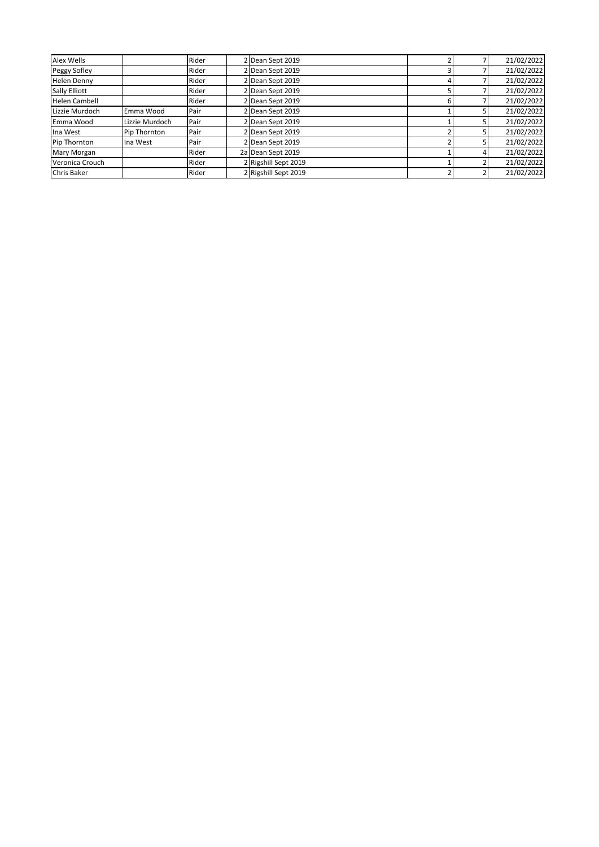| Alex Wells           |                |       |                      |  |            |
|----------------------|----------------|-------|----------------------|--|------------|
|                      |                | Rider | 2 Dean Sept 2019     |  | 21/02/2022 |
| Peggy Sofley         |                | Rider | 2 Dean Sept 2019     |  | 21/02/2022 |
| Helen Denny          |                | Rider | 2 Dean Sept 2019     |  | 21/02/2022 |
| Sally Elliott        |                | Rider | 2 Dean Sept 2019     |  | 21/02/2022 |
| <b>Helen Cambell</b> |                | Rider | 2 Dean Sept 2019     |  | 21/02/2022 |
| Lizzie Murdoch       | Emma Wood      | Pair  | 2 Dean Sept 2019     |  | 21/02/2022 |
| Emma Wood            | Lizzie Murdoch | Pair  | 2 Dean Sept 2019     |  | 21/02/2022 |
| Ina West             | Pip Thornton   | Pair  | 2 Dean Sept 2019     |  | 21/02/2022 |
| Pip Thornton         | Ina West       | Pair  | 2 Dean Sept 2019     |  | 21/02/2022 |
| Mary Morgan          |                | Rider | 2a Dean Sept 2019    |  | 21/02/2022 |
| Veronica Crouch      |                | Rider | 2 Rigshill Sept 2019 |  | 21/02/2022 |
| <b>Chris Baker</b>   |                | Rider | 2 Rigshill Sept 2019 |  | 21/02/2022 |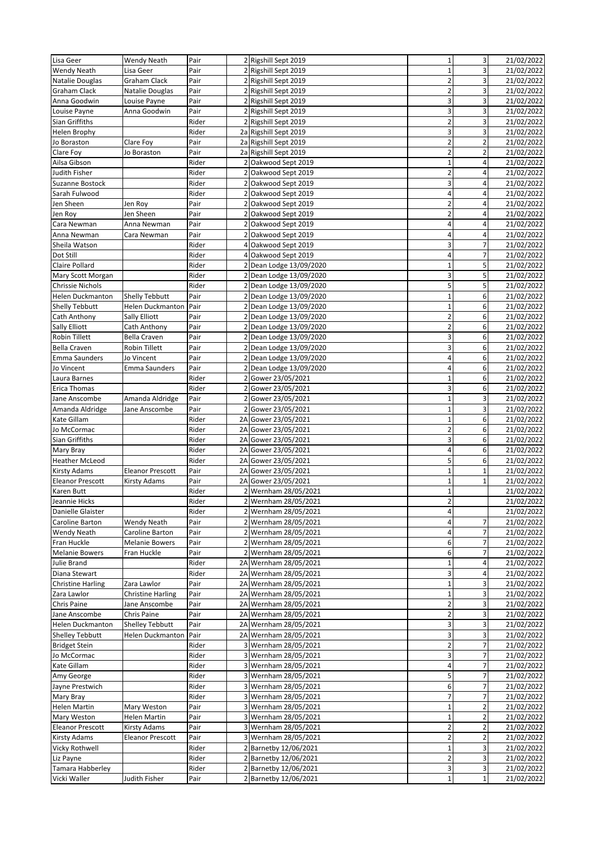| Lisa Geer                | <b>Wendy Neath</b>       | Pair  |   | 2 Rigshill Sept 2019    | $1\vert$                | $\mathbf{3}$            | 21/02/2022 |
|--------------------------|--------------------------|-------|---|-------------------------|-------------------------|-------------------------|------------|
| <b>Wendy Neath</b>       | Lisa Geer                | Pair  |   | 2 Rigshill Sept 2019    | $\mathbf{1}$            | 3                       | 21/02/2022 |
|                          | Graham Clack             | Pair  |   | 2 Rigshill Sept 2019    | $\mathbf 2$             | 3                       | 21/02/2022 |
| Natalie Douglas          |                          |       |   |                         |                         |                         |            |
| <b>Graham Clack</b>      | Natalie Douglas          | Pair  |   | 2 Rigshill Sept 2019    | $\overline{2}$          | 3                       | 21/02/2022 |
| Anna Goodwin             | Louise Payne             | Pair  |   | 2 Rigshill Sept 2019    | 3                       | 3                       | 21/02/2022 |
| Louise Payne             | Anna Goodwin             | Pair  |   | 2 Rigshill Sept 2019    | 3                       | 3                       | 21/02/2022 |
| Sian Griffiths           |                          | Rider |   | 2 Rigshill Sept 2019    | $\overline{2}$          | 3                       | 21/02/2022 |
| <b>Helen Brophy</b>      |                          | Rider |   | 2a Rigshill Sept 2019   | 3                       | 3                       | 21/02/2022 |
| Jo Boraston              | Clare Foy                | Pair  |   | 2a Rigshill Sept 2019   | $\overline{2}$          | $\overline{a}$          | 21/02/2022 |
| Clare Foy                | Jo Boraston              | Pair  |   | 2a Rigshill Sept 2019   | $\overline{2}$          | $\overline{2}$          | 21/02/2022 |
| Ailsa Gibson             |                          | Rider | 2 | Oakwood Sept 2019       | $\mathbf 1$             | 4                       | 21/02/2022 |
| Judith Fisher            |                          | Rider |   | 2 Oakwood Sept 2019     | $\overline{2}$          | 4                       | 21/02/2022 |
|                          |                          |       |   |                         |                         |                         |            |
| Suzanne Bostock          |                          | Rider |   | 2 Oakwood Sept 2019     | 3                       | 4                       | 21/02/2022 |
| Sarah Fulwood            |                          | Rider | 2 | Oakwood Sept 2019       | 4                       | 4                       | 21/02/2022 |
| Jen Sheen                | Jen Roy                  | Pair  |   | 2 Oakwood Sept 2019     | $\overline{\mathbf{c}}$ | 4                       | 21/02/2022 |
| Jen Roy                  | Jen Sheen                | Pair  |   | 2 Oakwood Sept 2019     | $\overline{2}$          | 4                       | 21/02/2022 |
| Cara Newman              | Anna Newman              | Pair  | 2 | Oakwood Sept 2019       | $\sqrt{4}$              | 4                       | 21/02/2022 |
| Anna Newman              | Cara Newman              | Pair  |   | 2 Oakwood Sept 2019     | $\overline{\mathbf{4}}$ | 4                       | 21/02/2022 |
| Sheila Watson            |                          | Rider | 4 | Oakwood Sept 2019       | 3                       | 7                       | 21/02/2022 |
|                          |                          |       |   |                         |                         |                         |            |
| Dot Still                |                          | Rider |   | 4 Oakwood Sept 2019     | 4                       | $\overline{7}$          | 21/02/2022 |
| Claire Pollard           |                          | Rider |   | 2 Dean Lodge 13/09/2020 | $\mathbf 1$             | 5                       | 21/02/2022 |
| Mary Scott Morgan        |                          | Rider |   | 2 Dean Lodge 13/09/2020 | 3                       | 5                       | 21/02/2022 |
| <b>Chrissie Nichols</b>  |                          | Rider |   | 2 Dean Lodge 13/09/2020 | 5                       | 5                       | 21/02/2022 |
| <b>Helen Duckmanton</b>  | Shelly Tebbutt           | Pair  | 2 | Dean Lodge 13/09/2020   | $\mathbf 1$             | 6                       | 21/02/2022 |
| <b>Shelly Tebbutt</b>    | Helen Duckmanton         | Pair  |   | 2 Dean Lodge 13/09/2020 | $\mathbf 1$             | 6                       | 21/02/2022 |
| Cath Anthony             | Sally Elliott            | Pair  |   | 2 Dean Lodge 13/09/2020 | $\overline{2}$          | 6                       | 21/02/2022 |
|                          |                          |       |   |                         |                         |                         |            |
| <b>Sally Elliott</b>     | Cath Anthony             | Pair  | 2 | Dean Lodge 13/09/2020   | $\overline{2}$          | 6                       | 21/02/2022 |
| <b>Robin Tillett</b>     | <b>Bella Craven</b>      | Pair  |   | 2 Dean Lodge 13/09/2020 | 3                       | 6                       | 21/02/2022 |
| <b>Bella Craven</b>      | Robin Tillett            | Pair  | 2 | Dean Lodge 13/09/2020   | 3                       | 6                       | 21/02/2022 |
| <b>Emma Saunders</b>     | Jo Vincent               | Pair  |   | 2 Dean Lodge 13/09/2020 | 4                       | 6                       | 21/02/2022 |
| Jo Vincent               | Emma Saunders            | Pair  |   | 2 Dean Lodge 13/09/2020 | 4                       | 6                       | 21/02/2022 |
| Laura Barnes             |                          | Rider |   | 2 Gower 23/05/2021      | $\mathbf 1$             | 6                       | 21/02/2022 |
|                          |                          |       |   |                         | 3                       | 6                       | 21/02/2022 |
| <b>Erica Thomas</b>      |                          | Rider |   | 2 Gower 23/05/2021      |                         |                         |            |
| Jane Anscombe            | Amanda Aldridge          | Pair  | 2 | Gower 23/05/2021        | $\mathbf 1$             | 3                       | 21/02/2022 |
| Amanda Aldridge          | Jane Anscombe            | Pair  |   | 2 Gower 23/05/2021      | $\mathbf 1$             | 3                       | 21/02/2022 |
| Kate Gillam              |                          | Rider |   | 2A Gower 23/05/2021     | $\mathbf 1$             | 6                       | 21/02/2022 |
| Jo McCormac              |                          | Rider |   | 2A Gower 23/05/2021     | $\overline{2}$          | 6                       | 21/02/2022 |
| Sian Griffiths           |                          | Rider |   | 2A Gower 23/05/2021     | 3                       | 6                       | 21/02/2022 |
| Mary Bray                |                          | Rider |   | 2A Gower 23/05/2021     | $\overline{4}$          | 6                       | 21/02/2022 |
| <b>Heather McLeod</b>    |                          | Rider |   | 2A Gower 23/05/2021     | 5                       | 6                       | 21/02/2022 |
|                          |                          |       |   |                         |                         |                         |            |
| <b>Kirsty Adams</b>      | <b>Eleanor Prescott</b>  | Pair  |   | 2A Gower 23/05/2021     | $\mathbf 1$             | $\mathbf 1$             | 21/02/2022 |
| <b>Eleanor Prescott</b>  | Kirsty Adams             | Pair  |   | 2A Gower 23/05/2021     | $\mathbf 1$             | $\mathbf{1}$            | 21/02/2022 |
| Karen Butt               |                          | Rider |   | 2 Wernham 28/05/2021    | $\mathbf 1$             |                         | 21/02/2022 |
| Jeannie Hicks            |                          | Rider |   | 2 Wernham 28/05/2021    | $\overline{2}$          |                         | 21/02/2022 |
| Danielle Glaister        |                          | Rider |   | 2 Wernham 28/05/2021    | $\overline{4}$          |                         | 21/02/2022 |
| Caroline Barton          | <b>Wendy Neath</b>       | Pair  |   | 2 Wernham 28/05/2021    | 4                       | 7                       | 21/02/2022 |
|                          |                          |       |   |                         | $\sqrt{4}$              | 7                       | 21/02/2022 |
| <b>Wendy Neath</b>       | Caroline Barton          | Pair  |   | 2 Wernham 28/05/2021    |                         |                         |            |
| Fran Huckle              | <b>Melanie Bowers</b>    | Pair  |   | 2 Wernham 28/05/2021    | $6 \overline{6}$        | 7                       | 21/02/2022 |
| <b>Melanie Bowers</b>    | Fran Huckle              | Pair  |   | 2 Wernham 28/05/2021    | $6 \overline{6}$        | $\overline{7}$          | 21/02/2022 |
| Julie Brand              |                          | Rider |   | 2A Wernham 28/05/2021   | $\mathbf 1$             | 4                       | 21/02/2022 |
| Diana Stewart            |                          | Rider |   | 2A Wernham 28/05/2021   | $\overline{\mathbf{3}}$ | 4                       | 21/02/2022 |
| <b>Christine Harling</b> | Zara Lawlor              | Pair  |   | 2A Wernham 28/05/2021   | $\mathbf 1$             | 3                       | 21/02/2022 |
| Zara Lawlor              | <b>Christine Harling</b> | Pair  |   | 2A Wernham 28/05/2021   | $\mathbf 1$             | 3                       | 21/02/2022 |
| Chris Paine              | Jane Anscombe            | Pair  |   | 2A Wernham 28/05/2021   | $\mathbf 2$             | 3                       | 21/02/2022 |
|                          |                          |       |   |                         | $\overline{2}$          |                         |            |
| Jane Anscombe            | Chris Paine              | Pair  |   | 2A Wernham 28/05/2021   |                         | 3                       | 21/02/2022 |
| <b>Helen Duckmanton</b>  | <b>Shelley Tebbutt</b>   | Pair  |   | 2A Wernham 28/05/2021   | $\overline{\mathbf{3}}$ | 3                       | 21/02/2022 |
| <b>Shelley Tebbutt</b>   | Helen Duckmanton         | Pair  |   | 2A Wernham 28/05/2021   | 3                       | 3                       | 21/02/2022 |
| <b>Bridget Stein</b>     |                          | Rider |   | 3 Wernham 28/05/2021    | $\overline{2}$          | 7                       | 21/02/2022 |
| Jo McCormac              |                          | Rider |   | 3 Wernham 28/05/2021    | 3                       | 7                       | 21/02/2022 |
| Kate Gillam              |                          | Rider |   | 3 Wernham 28/05/2021    | $\overline{4}$          | 7                       | 21/02/2022 |
| Amy George               |                          | Rider |   | 3 Wernham 28/05/2021    | 5 <sub>l</sub>          | 7                       | 21/02/2022 |
|                          |                          | Rider |   | 3 Wernham 28/05/2021    | $6 \overline{6}$        | 7                       | 21/02/2022 |
| Jayne Prestwich          |                          |       |   |                         |                         |                         |            |
| Mary Bray                |                          | Rider |   | 3 Wernham 28/05/2021    | $\overline{7}$          | 7                       | 21/02/2022 |
| <b>Helen Martin</b>      | Mary Weston              | Pair  |   | 3 Wernham 28/05/2021    | $\mathbf 1$             | $\overline{\mathbf{c}}$ | 21/02/2022 |
| Mary Weston              | Helen Martin             | Pair  |   | 3 Wernham 28/05/2021    | $\mathbf 1$             | $\overline{2}$          | 21/02/2022 |
| <b>Eleanor Prescott</b>  | Kirsty Adams             | Pair  |   | 3 Wernham 28/05/2021    | $\overline{2}$          | 2                       | 21/02/2022 |
| <b>Kirsty Adams</b>      | <b>Eleanor Prescott</b>  | Pair  |   | 3 Wernham 28/05/2021    | $\overline{2}$          | $\overline{\mathbf{c}}$ | 21/02/2022 |
| Vicky Rothwell           |                          | Rider |   | 2 Barnetby 12/06/2021   | $\mathbf 1$             | 3                       | 21/02/2022 |
| Liz Payne                |                          | Rider |   | 2 Barnetby 12/06/2021   | $\overline{2}$          | 3                       | 21/02/2022 |
|                          |                          |       |   |                         |                         |                         |            |
| Tamara Habberley         |                          | Rider |   | 2 Barnetby 12/06/2021   | $\overline{\mathbf{3}}$ | 3                       | 21/02/2022 |
| Vicki Waller             | Judith Fisher            | Pair  |   | 2 Barnetby 12/06/2021   | $\mathbf 1$             | $\mathbf 1$             | 21/02/2022 |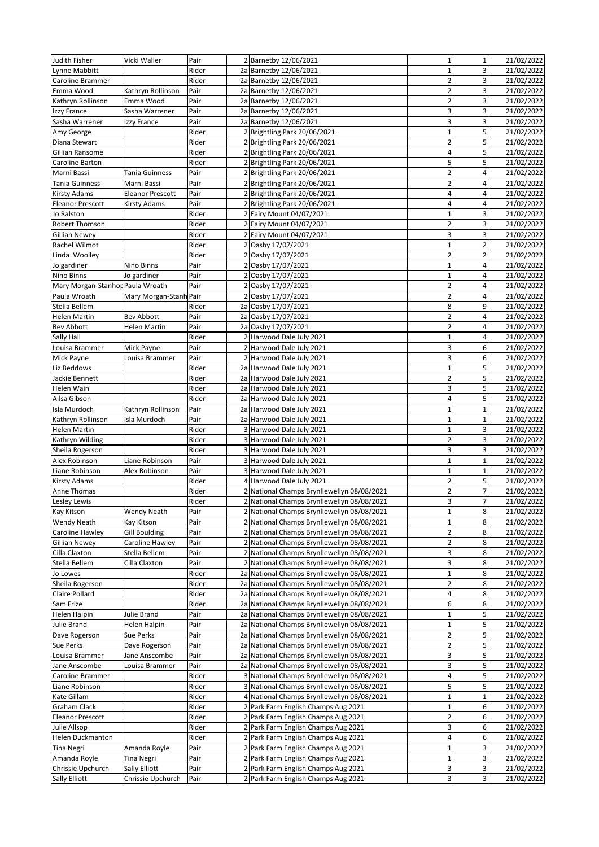| Judith Fisher                    | Vicki Waller            | Pair  |   | 2 Barnetby 12/06/2021                       | $\mathbf 1$             | $\mathbf 1$    | 21/02/2022 |
|----------------------------------|-------------------------|-------|---|---------------------------------------------|-------------------------|----------------|------------|
| Lynne Mabbitt                    |                         | Rider |   | 2a Barnetby 12/06/2021                      | $\overline{1}$          | 3              | 21/02/2022 |
| Caroline Brammer                 |                         | Rider |   | 2a Barnetby 12/06/2021                      | $\mathbf 2$             | 3              | 21/02/2022 |
| Emma Wood                        | Kathryn Rollinson       | Pair  |   | 2a Barnetby 12/06/2021                      | $\overline{2}$          | 3              | 21/02/2022 |
| Kathryn Rollinson                | Emma Wood               | Pair  |   | 2a Barnetby 12/06/2021                      | $\mathbf 2$             | 3              | 21/02/2022 |
| Izzy France                      | Sasha Warrener          | Pair  |   | 2a Barnetby 12/06/2021                      | 3                       | 3              | 21/02/2022 |
| Sasha Warrener                   | Izzy France             | Pair  |   | 2a Barnetby 12/06/2021                      | 3                       | 3              | 21/02/2022 |
|                                  |                         |       |   |                                             |                         |                |            |
| Amy George                       |                         | Rider |   | 2 Brightling Park 20/06/2021                | $\mathbf 1$             | 5              | 21/02/2022 |
| Diana Stewart                    |                         | Rider |   | 2 Brightling Park 20/06/2021                | $\overline{2}$          | 5              | 21/02/2022 |
| Gillian Ransome                  |                         | Rider |   | 2 Brightling Park 20/06/2021                | $\sqrt{4}$              | 5              | 21/02/2022 |
| Caroline Barton                  |                         | Rider |   | 2 Brightling Park 20/06/2021                | 5                       | 5              | 21/02/2022 |
| Marni Bassi                      | Tania Guinness          | Pair  |   | 2 Brightling Park 20/06/2021                | $\overline{2}$          | 4              | 21/02/2022 |
| Tania Guinness                   | Marni Bassi             | Pair  |   | 2 Brightling Park 20/06/2021                | $\mathbf 2$             | $\overline{4}$ | 21/02/2022 |
| <b>Kirsty Adams</b>              | <b>Eleanor Prescott</b> | Pair  |   | 2 Brightling Park 20/06/2021                | $\overline{\mathbf{r}}$ | 4              | 21/02/2022 |
| <b>Eleanor Prescott</b>          | Kirsty Adams            | Pair  |   | 2 Brightling Park 20/06/2021                | $\overline{\mathbf{4}}$ | 4              | 21/02/2022 |
| Jo Ralston                       |                         | Rider |   | 2 Eairy Mount 04/07/2021                    | $\mathbf{1}$            | 3              | 21/02/2022 |
| Robert Thomson                   |                         | Rider |   | 2 Eairy Mount 04/07/2021                    | $\overline{2}$          | 3              | 21/02/2022 |
| <b>Gillian Newey</b>             |                         | Rider |   | 2 Eairy Mount 04/07/2021                    | $\overline{\mathbf{3}}$ | 3              | 21/02/2022 |
| Rachel Wilmot                    |                         | Rider |   | 2 Oasby 17/07/2021                          | $\mathbf{1}$            | $\overline{2}$ | 21/02/2022 |
| Linda Woolley                    |                         | Rider |   | 2 Oasby 17/07/2021                          | $\overline{2}$          | $\overline{2}$ | 21/02/2022 |
| Jo gardiner                      | Nino Binns              | Pair  |   | 2 Oasby 17/07/2021                          | $\mathbf{1}$            | 4              | 21/02/2022 |
| Nino Binns                       | Jo gardiner             | Pair  |   | 2 Oasby 17/07/2021                          | $\mathbf 1$             | 4              | 21/02/2022 |
| Mary Morgan-Stanhop Paula Wroath |                         | Pair  |   | 2 Oasby 17/07/2021                          | $\mathbf 2$             | $\overline{4}$ | 21/02/2022 |
|                                  |                         |       |   |                                             |                         |                |            |
| Paula Wroath                     | Mary Morgan-Stanh Pair  |       |   | 2 Oasby 17/07/2021                          | $\overline{2}$          | 4              | 21/02/2022 |
| Stella Bellem                    |                         | Rider |   | 2a Oasby 17/07/2021                         | 8                       | 9              | 21/02/2022 |
| <b>Helen Martin</b>              | <b>Bev Abbott</b>       | Pair  |   | 2a Oasby 17/07/2021                         | $\overline{2}$          | 4              | 21/02/2022 |
| <b>Bev Abbott</b>                | Helen Martin            | Pair  |   | 2a Oasby 17/07/2021                         | $\overline{2}$          | 4              | 21/02/2022 |
| Sally Hall                       |                         | Rider |   | 2 Harwood Dale July 2021                    | $\mathbf{1}$            | 4              | 21/02/2022 |
| Louisa Brammer                   | Mick Payne              | Pair  |   | 2 Harwood Dale July 2021                    | $\overline{\mathbf{3}}$ | 6              | 21/02/2022 |
| Mick Payne                       | Louisa Brammer          | Pair  |   | 2 Harwood Dale July 2021                    | $\overline{\mathbf{3}}$ | 6              | 21/02/2022 |
| Liz Beddows                      |                         | Rider |   | 2a Harwood Dale July 2021                   | $\mathbf{1}$            | 5              | 21/02/2022 |
| Jackie Bennett                   |                         | Rider |   | 2a Harwood Dale July 2021                   | $\overline{2}$          | 5              | 21/02/2022 |
| Helen Wain                       |                         | Rider |   | 2a Harwood Dale July 2021                   | 3                       | 5              | 21/02/2022 |
| Ailsa Gibson                     |                         | Rider |   | 2a Harwood Dale July 2021                   | $\overline{\mathbf{r}}$ | 5              | 21/02/2022 |
| Isla Murdoch                     | Kathryn Rollinson       | Pair  |   | 2a Harwood Dale July 2021                   | $\mathbf{1}$            | $\mathbf{1}$   | 21/02/2022 |
| Kathryn Rollinson                | Isla Murdoch            | Pair  |   | 2a Harwood Dale July 2021                   | $\mathbf 1$             | $\mathbf 1$    | 21/02/2022 |
| <b>Helen Martin</b>              |                         | Rider | 3 | Harwood Dale July 2021                      | $\mathbf 1$             | 3              | 21/02/2022 |
| Kathryn Wilding                  |                         | Rider |   | 3 Harwood Dale July 2021                    | $\mathbf 2$             | 3              | 21/02/2022 |
|                                  |                         | Rider |   | 3 Harwood Dale July 2021                    | 3                       | 3              | 21/02/2022 |
| Sheila Rogerson<br>Alex Robinson |                         |       |   |                                             | $\mathbf 1$             | $\mathbf 1$    |            |
|                                  | Liane Robinson          | Pair  |   | 3 Harwood Dale July 2021                    |                         |                | 21/02/2022 |
| Liane Robinson                   | Alex Robinson           | Pair  |   | 3 Harwood Dale July 2021                    | $\mathbf 1$             | $\mathbf 1$    | 21/02/2022 |
| Kirsty Adams                     |                         | Rider |   | 4 Harwood Dale July 2021                    | $\overline{2}$          | 5              | 21/02/2022 |
| Anne Thomas                      |                         | Rider |   | 2 National Champs Brynllewellyn 08/08/2021  | $\overline{2}$          | $\overline{7}$ | 21/02/2022 |
| Lesley Lewis                     |                         | Rider |   | 2 National Champs Brynllewellyn 08/08/2021  | $\overline{3}$          | 7              | 21/02/2022 |
| Kay Kitson                       | <b>Wendy Neath</b>      | Pair  |   | 2 National Champs Brynllewellyn 08/08/2021  | $\mathbf 1$             | 8              | 21/02/2022 |
| <b>Wendy Neath</b>               | Kay Kitson              | Pair  |   | 2 National Champs Brynllewellyn 08/08/2021  | $\mathbf 1$             | 8              | 21/02/2022 |
| Caroline Hawley                  | Gill Boulding           | Pair  |   | 2 National Champs Brynllewellyn 08/08/2021  | $\overline{2}$          | 8              | 21/02/2022 |
| <b>Gillian Newey</b>             | Caroline Hawley         | Pair  |   | 2 National Champs Brynllewellyn 08/08/2021  | $\mathbf 2$             | 8              | 21/02/2022 |
| Cilla Claxton                    | Stella Bellem           | Pair  |   | 2 National Champs Brynllewellyn 08/08/2021  | $\overline{\mathbf{3}}$ | 8              | 21/02/2022 |
| Stella Bellem                    | Cilla Claxton           | Pair  |   | 2 National Champs Brynllewellyn 08/08/2021  | $\overline{\mathbf{3}}$ | 8              | 21/02/2022 |
| Jo Lowes                         |                         | Rider |   | 2a National Champs Brynllewellyn 08/08/2021 | $\mathbf 1$             | 8              | 21/02/2022 |
| Sheila Rogerson                  |                         | Rider |   | 2a National Champs Brynllewellyn 08/08/2021 | $\overline{2}$          | 8              | 21/02/2022 |
| Claire Pollard                   |                         | Rider |   | 2a National Champs Brynllewellyn 08/08/2021 | $\sqrt{4}$              | 8              | 21/02/2022 |
| Sam Frize                        |                         | Rider |   | 2a National Champs Brynllewellyn 08/08/2021 | 6                       | 8              | 21/02/2022 |
| Helen Halpin                     | Julie Brand             | Pair  |   | 2a National Champs Brynllewellyn 08/08/2021 | $\mathbf{1}$            | 5              | 21/02/2022 |
| Julie Brand                      | Helen Halpin            | Pair  |   | 2a National Champs Brynllewellyn 08/08/2021 | $\mathbf 1$             | 5              | 21/02/2022 |
|                                  |                         |       |   | 2a National Champs Brynllewellyn 08/08/2021 | $\overline{2}$          | 5              | 21/02/2022 |
| Dave Rogerson                    | Sue Perks               | Pair  |   |                                             |                         |                |            |
| Sue Perks                        | Dave Rogerson           | Pair  |   | 2a National Champs Brynllewellyn 08/08/2021 | $\mathbf 2$             | 5              | 21/02/2022 |
| Louisa Brammer                   | Jane Anscombe           | Pair  |   | 2a National Champs Brynllewellyn 08/08/2021 | 3                       | 5              | 21/02/2022 |
| Jane Anscombe                    | Louisa Brammer          | Pair  |   | 2a National Champs Brynllewellyn 08/08/2021 | $\mathbf{3}$            | 5              | 21/02/2022 |
| Caroline Brammer                 |                         | Rider |   | 3 National Champs Brynllewellyn 08/08/2021  | $\sqrt{4}$              | 5              | 21/02/2022 |
| Liane Robinson                   |                         | Rider |   | 3 National Champs Brynllewellyn 08/08/2021  | 5                       | 5              | 21/02/2022 |
| Kate Gillam                      |                         | Rider |   | 4 National Champs Brynllewellyn 08/08/2021  | $\mathbf 1$             | $\mathbf 1$    | 21/02/2022 |
| Graham Clack                     |                         | Rider |   | 2 Park Farm English Champs Aug 2021         | $\mathbf 1$             | 6              | 21/02/2022 |
| <b>Eleanor Prescott</b>          |                         | Rider |   | 2 Park Farm English Champs Aug 2021         | $\mathbf 2$             | 6              | 21/02/2022 |
| Julie Allsop                     |                         | Rider |   | 2 Park Farm English Champs Aug 2021         | $\overline{\mathbf{3}}$ | 6              | 21/02/2022 |
| <b>Helen Duckmanton</b>          |                         | Rider |   | 2 Park Farm English Champs Aug 2021         | $\overline{a}$          | 6              | 21/02/2022 |
| Tina Negri                       | Amanda Royle            | Pair  |   | 2 Park Farm English Champs Aug 2021         | $\mathbf 1$             | 3              | 21/02/2022 |
| Amanda Royle                     | <b>Tina Negri</b>       | Pair  |   | 2 Park Farm English Champs Aug 2021         | $\mathbf 1$             | 3              | 21/02/2022 |
| Chrissie Upchurch                | Sally Elliott           | Pair  |   | 2 Park Farm English Champs Aug 2021         | 3                       | 3              | 21/02/2022 |
| Sally Elliott                    | Chrissie Upchurch       | Pair  |   | 2 Park Farm English Champs Aug 2021         | $\overline{\mathbf{3}}$ | 3              | 21/02/2022 |